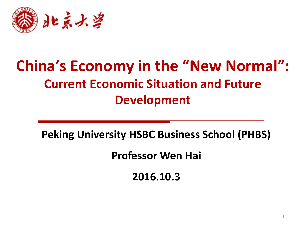

# **China's Economy in the "New Normal": Current Economic Situation and Future Development**

**Peking University HSBC Business School (PHBS)** 

**Professor Wen Hai**

**2016.10.3**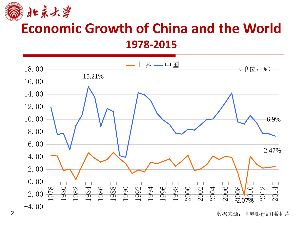

## **Economic Growth of China and the World 1978-2015**



数据来源:世界银行WDI数据库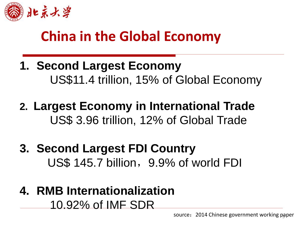

## **China in the Global Economy**

- **1. Second Largest Economy**  US\$11.4 trillion, 15% of Global Economy
- **2. Largest Economy in International Trade** US\$ 3.96 trillion, 12% of Global Trade
- **3. Second Largest FDI Country** US\$ 145.7 billion, 9.9% of world FDI
- **4. RMB Internationalization** 10.92% of IMF SDR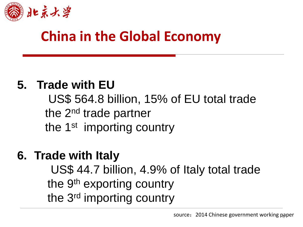

## **China in the Global Economy**

#### **5. Trade with EU**

 US\$ 564.8 billion, 15% of EU total trade the 2<sup>nd</sup> trade partner the 1<sup>st</sup> importing country

## **6. Trade with Italy**

US\$ 44.7 billion, 4.9% of Italy total trade the 9<sup>th</sup> exporting country the 3rd importing country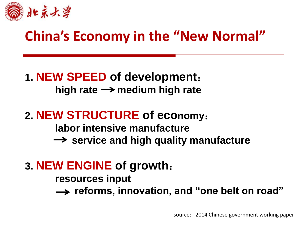

## **China's Economy in the "New Normal"**

#### **1. NEW SPEED of development**: high rate  $\rightarrow$  medium high rate

#### **2. NEW STRUCTURE of economy**:

**labor intensive manufacture**

 $\rightarrow$  service and high quality manufacture

### **3. NEW ENGINE of growth**:

**resources input** 

 **reforms, innovation, and "one belt on road"**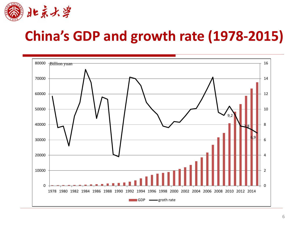

# **China's GDP and growth rate (1978-2015)**

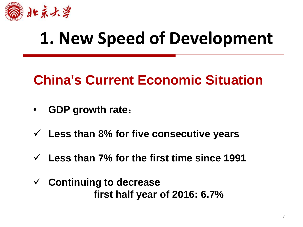

# **1. New Speed of Development**

## **China's Current Economic Situation**

- **GDP growth rate**:
- **Less than 8% for five consecutive years**
- **Less than 7% for the first time since 1991**
- **Continuing to decrease first half year of 2016: 6.7%**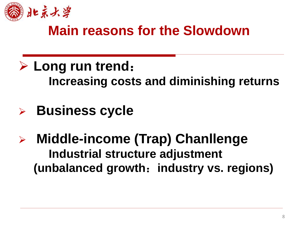

## **Main reasons for the Slowdown**

- **Long run trend**: **Increasing costs and diminishing returns**
- **Business cycle**
- **Middle-income (Trap) Chanllenge Industrial structure adjustment (unbalanced growth**:**industry vs. regions)**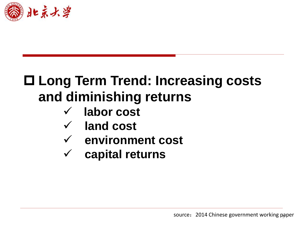

# **Long Term Trend: Increasing costs and diminishing returns**

- **labor cost**
- **land cost**
- **environment cost**
- **capital returns**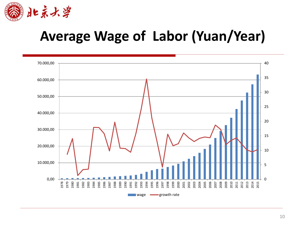

## **Average Wage of Labor (Yuan/Year)**

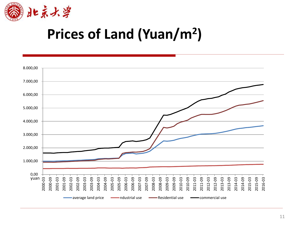

# **Prices of Land (Yuan/m<sup>2</sup> )**

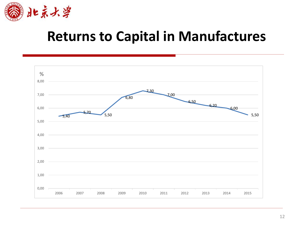

## **Returns to Capital in Manufactures**

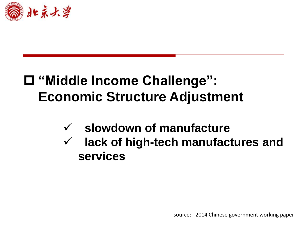

## **"Middle Income Challenge": Economic Structure Adjustment**

- **slowdown of manufacture**
- **lack of high-tech manufactures and services**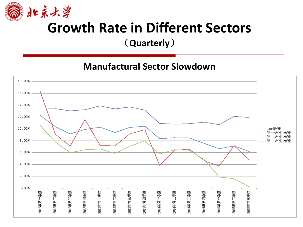

## **Growth Rate in Different Sectors**

(**Quarterly**)

**Manufactural Sector Slowdown**

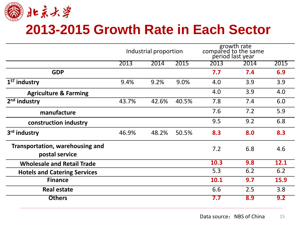

### **2013-2015 Growth Rate in Each Sector**

|                                                   | Industrial proportion |       |       | growth rate<br>compared to the same<br>period last year |      |      |
|---------------------------------------------------|-----------------------|-------|-------|---------------------------------------------------------|------|------|
|                                                   | 2013                  | 2014  | 2015  | 2013                                                    | 2014 | 2015 |
| <b>GDP</b>                                        |                       |       |       | 7.7                                                     | 7.4  | 6.9  |
| $1ST$ industry                                    | 9.4%                  | 9.2%  | 9.0%  | 4.0                                                     | 3.9  | 3.9  |
| <b>Agriculture &amp; Farming</b>                  |                       |       |       | 4.0                                                     | 3.9  | 4.0  |
| industry<br>2 <sub>nd</sub>                       | 43.7%                 | 42.6% | 40.5% | 7.8                                                     | 7.4  | 6.0  |
| manufacture                                       |                       |       |       | 7.6                                                     | 7.2  | 5.9  |
| construction industry                             |                       |       |       | 9.5                                                     | 9.2  | 6.8  |
| 3rd industry                                      | 46.9%                 | 48.2% | 50.5% | 8.3                                                     | 8.0  | 8.3  |
| Transportation, warehousing and<br>postal service |                       |       |       | 7.2                                                     | 6.8  | 4.6  |
| <b>Wholesale and Retail Trade</b>                 |                       |       |       | 10.3                                                    | 9.8  | 12.1 |
| <b>Hotels and Catering Services</b>               |                       |       |       | 5.3                                                     | 6.2  | 6.2  |
| <b>Finance</b>                                    |                       |       |       | 10.1                                                    | 9.7  | 15.9 |
| <b>Real estate</b>                                |                       |       |       | 6.6                                                     | 2.5  | 3.8  |
| <b>Others</b>                                     |                       |       |       | 7.7                                                     | 8.9  | 9.2  |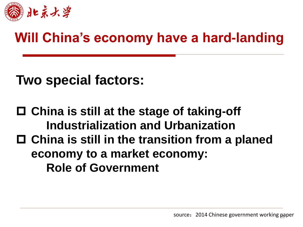

## **Will China's economy have a hard-landing**

**Two special factors:**

 **China is still at the stage of taking-off Industrialization and Urbanization China is still in the transition from a planed economy to a market economy: Role of Government**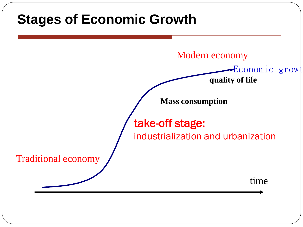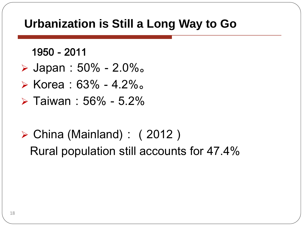#### **Urbanization is Still a Long Way to Go**

1950-2011

- Japan:50%-2.0%。
- $\triangleright$  Korea: 63% 4.2%.
- $\triangleright$  Taiwan: 56% 5.2%
- $\triangleright$  China (Mainland): (2012) Rural population still accounts for 47.4%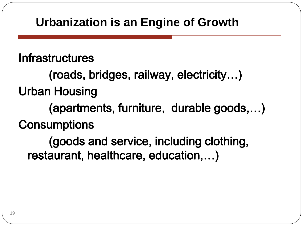#### **Urbanization is an Engine of Growth**

**Infrastructures** 

 (roads, bridges, railway, electricity…) Urban Housing

 (apartments, furniture, durable goods,…) **Consumptions** 

 (goods and service, including clothing, restaurant, healthcare, education,…)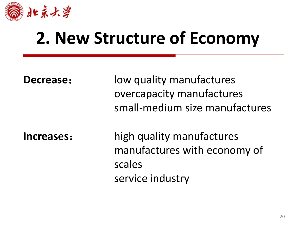

# **2. New Structure of Economy**

| <b>Decrease:</b> | low quality manufactures<br>overcapacity manufactures<br>small-medium size manufactures |
|------------------|-----------------------------------------------------------------------------------------|
| Increases:       | high quality manufactures<br>manufactures with economy of<br>scales<br>service industry |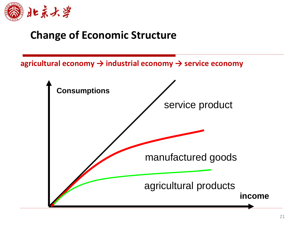

#### **Change of Economic Structure**

**agricultural economy → industrial economy → service economy**

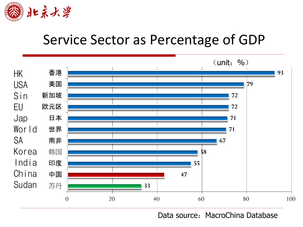

## Service Sector as Percentage of GDP



Data source: MacroChina Database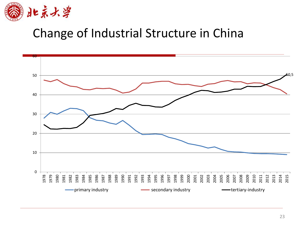

#### Change of Industrial Structure in China

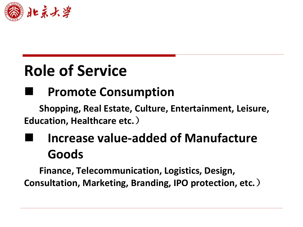

# **Role of Service**

### **Promote Consumption**

**Shopping, Real Estate, Culture, Entertainment, Leisure, Education, Healthcare etc.**)

## **Increase value-added of Manufacture Goods**

**Finance, Telecommunication, Logistics, Design, Consultation, Marketing, Branding, IPO protection, etc.**)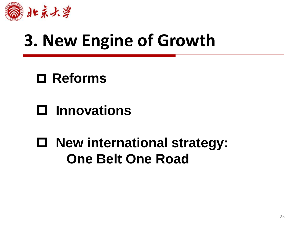

# **3. New Engine of Growth**

**Reforms**

- **Innovations**
- **New international strategy: One Belt One Road**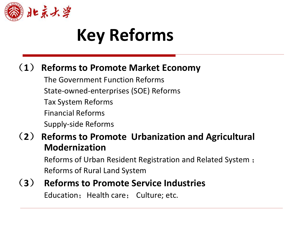

# **Key Reforms**

#### (**1**) **Reforms to Promote Market Economy**

 The Government Function Reforms State-owned-enterprises (SOE) Reforms Tax System Reforms Financial Reforms Supply-side Reforms

#### (**2**) **Reforms to Promote Urbanization and Agricultural Modernization**

Reforms of Urban Resident Registration and Related System ; Reforms of Rural Land System

## (**3**) **Reforms to Promote Service Industries**

Education; Health care; Culture; etc.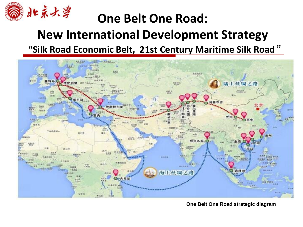

#### **One Belt One Road: New International Development Strategy "Silk Road Economic Belt, 21st Century Maritime Silk Road**"



 **One Belt One Road strategic diagram**